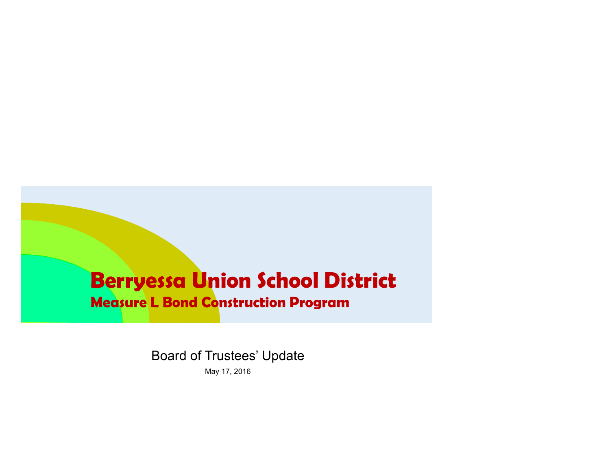# **Berryessa Union School District**

#### **Measure L Bond Construction Program**

Board of Trustees' Update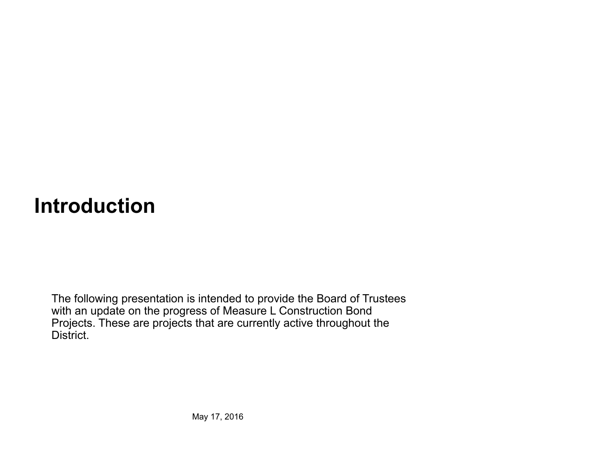# **Introduction**

The following presentation is intended to provide the Board of Trustees with an update on the progress of Measure L Construction Bond Projects. These are projects that are currently active throughout the District.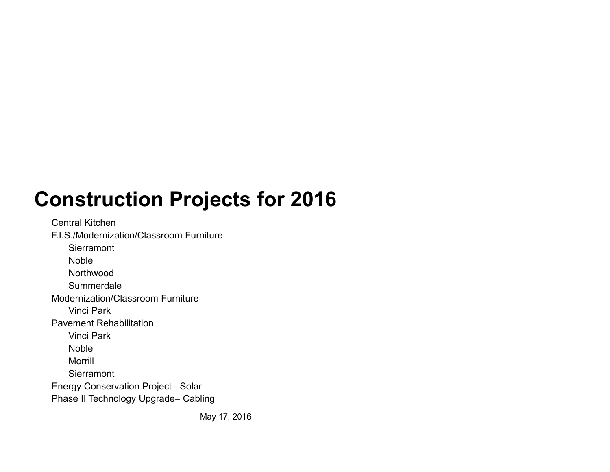# **Construction Projects for 2016**

Central KitchenF.I.S./Modernization/Classroom Furniture**Sierramont** Noble Northwood **Summerdale** Modernization/Classroom FurnitureVinci ParkPavement RehabilitationVinci ParkNobleMorrill**Sierramont** Energy Conservation Project - Solar Phase II Technology Upgrade– Cabling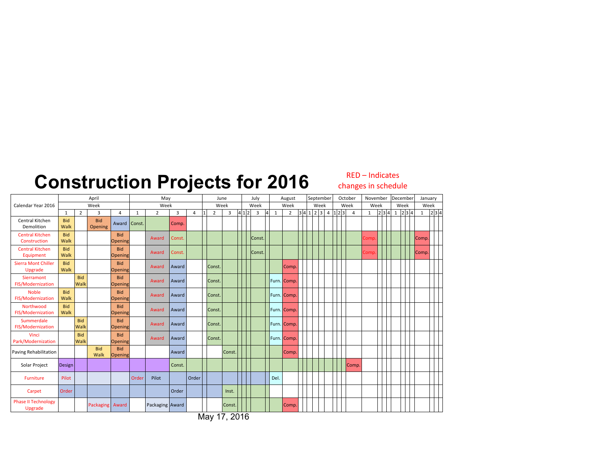#### **Construction Projects for 2016**

RED – Indicates changes in schedule

|                                        | April              |                    |                       |                              | May          |                 |        |       |      | June           |        |  |       | July    | August       |                |  |  | September |  |                   | October |  |                | November     |       |  | December |                             | January      |       |
|----------------------------------------|--------------------|--------------------|-----------------------|------------------------------|--------------|-----------------|--------|-------|------|----------------|--------|--|-------|---------|--------------|----------------|--|--|-----------|--|-------------------|---------|--|----------------|--------------|-------|--|----------|-----------------------------|--------------|-------|
| Calendar Year 2016                     | Week               |                    |                       |                              | Week         |                 |        |       | Week |                |        |  |       | Week    | Week         |                |  |  | Week      |  |                   | Week    |  |                | Week         |       |  | Week     |                             | Week         |       |
|                                        | $\mathbf{1}$       | $\overline{2}$     | 3                     | 4                            | $\mathbf{1}$ | $\overline{2}$  | 3      | 4     |      | $\overline{2}$ | 3      |  | 4 1 2 | 3<br> 4 | $\mathbf{1}$ | $\overline{2}$ |  |  |           |  | 3 4 1 2 3 4 1 2 3 |         |  | $\overline{4}$ | $\mathbf{1}$ | 2 3 4 |  |          | $1 \vert 2 \vert 3 \vert 4$ | $\mathbf{1}$ | 2 3 4 |
| Central Kitchen<br>Demolition          | <b>Bid</b><br>Walk |                    | <b>Bid</b><br>Opening | Award                        | Const.       |                 | Comp.  |       |      |                |        |  |       |         |              |                |  |  |           |  |                   |         |  |                |              |       |  |          |                             |              |       |
| <b>Central Kitchen</b><br>Construction | <b>Bid</b><br>Walk |                    |                       | <b>Bid</b><br>Opening        |              | Award           | Const. |       |      |                |        |  |       | Const.  |              |                |  |  |           |  |                   |         |  |                | Comp         |       |  |          |                             | Comp.        |       |
| <b>Central Kitchen</b><br>Equipment    | <b>Bid</b><br>Walk |                    |                       | <b>Bid</b><br>Opening        |              | Award           | Const. |       |      |                |        |  |       | Const.  |              |                |  |  |           |  |                   |         |  |                | Comp         |       |  |          |                             | Comp.        |       |
| <b>Sierra Mont Chiller</b><br>Upgrade  | <b>Bid</b><br>Walk |                    |                       | <b>Bid</b><br>Opening        |              | Award           | Award  |       |      | Const.         |        |  |       |         |              | Comp.          |  |  |           |  |                   |         |  |                |              |       |  |          |                             |              |       |
| Sierramont<br>FIS/Modernization        |                    | <b>Bid</b><br>Walk |                       | <b>Bid</b><br>Opening        |              | Award           | Award  |       |      | Const.         |        |  |       |         |              | Furn. Comp.    |  |  |           |  |                   |         |  |                |              |       |  |          |                             |              |       |
| <b>Noble</b><br>FIS/Modernization      | <b>Bid</b><br>Walk |                    |                       | <b>Bid</b><br>Opening        |              | Award           | Award  |       |      | Const.         |        |  |       |         |              | Furn. Comp.    |  |  |           |  |                   |         |  |                |              |       |  |          |                             |              |       |
| Northwood<br>FIS/Modernization         | <b>Bid</b><br>Walk |                    |                       | <b>Bid</b><br>Opening        |              | Award           | Award  |       |      | Const.         |        |  |       |         |              | Furn. Comp.    |  |  |           |  |                   |         |  |                |              |       |  |          |                             |              |       |
| Summerdale<br>FIS/Modernization        |                    | <b>Bid</b><br>Walk |                       | <b>Bid</b><br>Opening        |              | Award           | Award  |       |      | Const.         |        |  |       |         |              | Furn. Comp.    |  |  |           |  |                   |         |  |                |              |       |  |          |                             |              |       |
| Vinci<br>Park/Modernization            |                    | <b>Bid</b><br>Walk |                       | <b>Bid</b><br><b>Opening</b> |              | Award           | Award  |       |      | Const.         |        |  |       |         |              | Furn. Comp.    |  |  |           |  |                   |         |  |                |              |       |  |          |                             |              |       |
| Paving Rehabilitation                  |                    |                    | <b>Bid</b><br>Walk    | <b>Bid</b><br>Opening        |              |                 | Award  |       |      |                | Const. |  |       |         |              | Comp.          |  |  |           |  |                   |         |  |                |              |       |  |          |                             |              |       |
| Solar Project                          | Design             |                    |                       |                              |              |                 | Const. |       |      |                |        |  |       |         |              |                |  |  |           |  |                   |         |  | Comp.          |              |       |  |          |                             |              |       |
| <b>Furniture</b>                       | Pilot              |                    |                       |                              | Order        | Pilot           |        | Order |      |                |        |  |       |         | Del.         |                |  |  |           |  |                   |         |  |                |              |       |  |          |                             |              |       |
| Carpet                                 | Order              |                    |                       |                              |              |                 | Order  |       |      |                | Inst.  |  |       |         |              |                |  |  |           |  |                   |         |  |                |              |       |  |          |                             |              |       |
| <b>Phase II Technology</b><br>Upgrade  |                    |                    | Packaging Award       |                              |              | Packaging Award |        |       |      |                | Const  |  |       |         |              | Comp.          |  |  |           |  |                   |         |  |                |              |       |  |          |                             |              |       |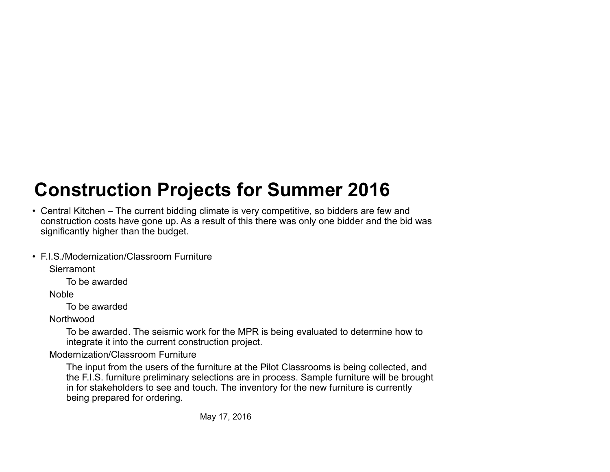### **Construction Projects for Summer 2016**

- Central Kitchen The current bidding climate is very competitive, so bidders are few and construction costs have gone up. As a result of this there was only one bidder and the bid was significantly higher than the budget.
- F.I.S./Modernization/Classroom Furniture

Sierramont

To be awarded

Noble

To be awarded

**Northwood** 

To be awarded. The seismic work for the MPR is being evaluated to determine how to integrate it into the current construction project.

Modernization/Classroom Furniture

The input from the users of the furniture at the Pilot Classrooms is being collected, and the F.I.S. furniture preliminary selections are in process. Sample furniture will be brought in for stakeholders to see and touch. The inventory for the new furniture is currently being prepared for ordering.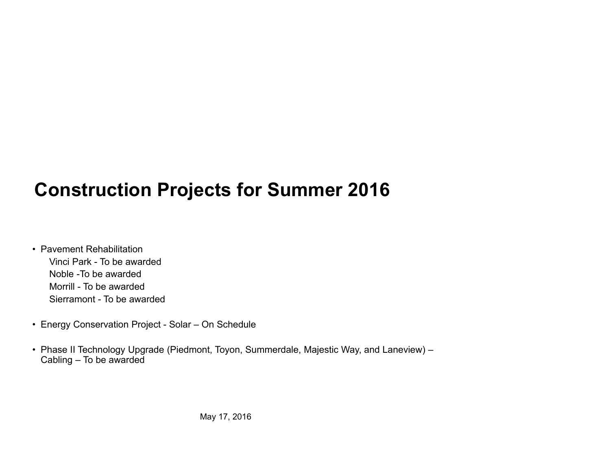#### **Construction Projects for Summer 2016**

- Pavement Rehabilitation Vinci Park - To be awarded Noble -To be awarded Morrill - To be awarded Sierramont - To be awarded
- Energy Conservation Project Solar On Schedule
- Phase II Technology Upgrade (Piedmont, Toyon, Summerdale, Majestic Way, and Laneview) Cabling – To be awarded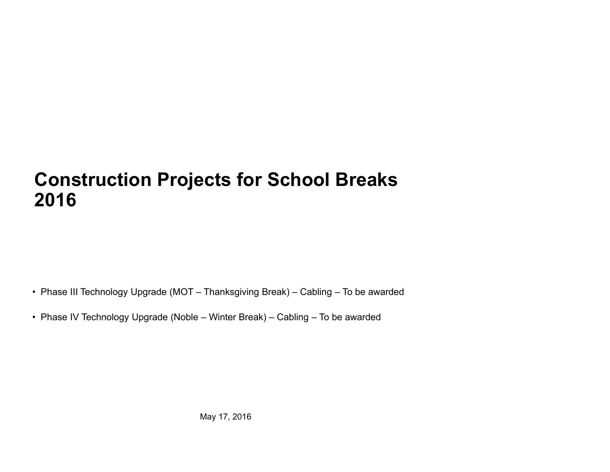#### **Construction Projects for School Breaks 2016**

• Phase III Technology Upgrade (MOT – Thanksgiving Break) – Cabling – To be awarded

• Phase IV Technology Upgrade (Noble – Winter Break) – Cabling – To be awarded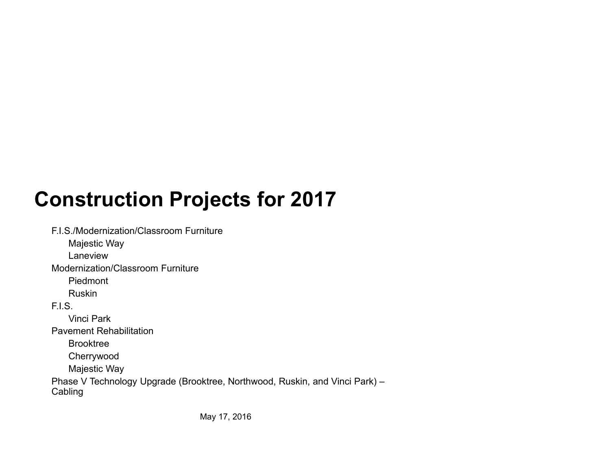# **Construction Projects for 2017**

F.I.S./Modernization/Classroom Furniture

Majestic Way

Laneview

Modernization/Classroom Furniture

Piedmont

Ruskin

F.I.S.

Vinci Park

Pavement Rehabilitation

Brooktree

Cherrywood

Majestic Way

Phase V Technology Upgrade (Brooktree, Northwood, Ruskin, and Vinci Park) – **Cabling**